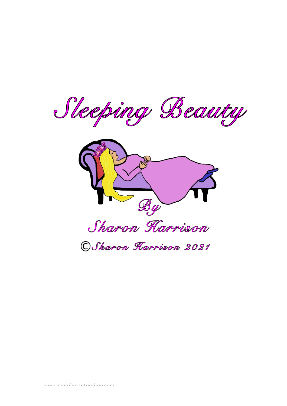Sleeping Beauty

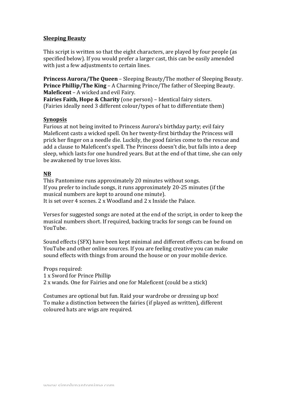## **Sleeping Beauty**

This script is written so that the eight characters, are played by four people (as specified below). If you would prefer a larger cast, this can be easily amended with just a few adjustments to certain lines.

**Princess Aurora/The Queen** – Sleeping Beauty/The mother of Sleeping Beauty. **Prince Phillip/The King** – A Charming Prince/The father of Sleeping Beauty. **Maleficent** – A wicked and evil Fairy.

**Fairies Faith, Hope & Charity** (one person) – Identical fairy sisters. (Fairies ideally need 3 different colour/types of hat to differentiate them)

## **Synopsis**

Furious at not being invited to Princess Aurora's birthday party; evil fairy Maleficent casts a wicked spell. On her twenty-first birthday the Princess will prick her finger on a needle die. Luckily, the good fairies come to the rescue and add a clause to Maleficent's spell. The Princess doesn't die, but falls into a deep sleep, which lasts for one hundred years. But at the end of that time, she can only be awakened by true loves kiss.

# **NB**

This Pantomime runs approximately 20 minutes without songs. If you prefer to include songs, it runs approximately  $20-25$  minutes (if the musical numbers are kept to around one minute). It is set over 4 scenes.  $2 \times W$ oodland and  $2 \times$  Inside the Palace.

Verses for suggested songs are noted at the end of the script, in order to keep the musical numbers short. If required, backing tracks for songs can be found on YouTube. 

Sound effects (SFX) have been kept minimal and different effects can be found on YouTube and other online sources. If you are feeling creative you can make sound effects with things from around the house or on your mobile device.

Props required: 1 x Sword for Prince Phillip 2 x wands. One for Fairies and one for Maleficent (could be a stick)

Costumes are optional but fun. Raid your wardrobe or dressing up box! To make a distinction between the fairies (if played as written), different coloured hats are wigs are required.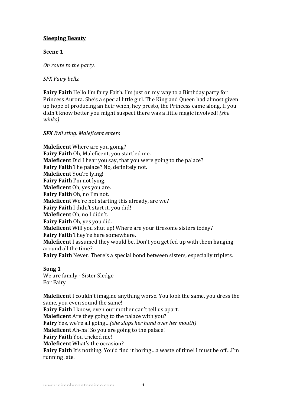# **Sleeping Beauty**

## **Scene 1**

*On route to the party.* 

*SFX Fairy bells.*

**Fairy Faith** Hello I'm fairy Faith. I'm just on my way to a Birthday party for Princess Aurora. She's a special little girl. The King and Queen had almost given up hope of producing an heir when, hey presto, the Princess came along. If you didn't know better you might suspect there was a little magic involved! (she *winks)*

## *SFX Evil sting. Maleficent enters*

**Maleficent** Where are you going? **Fairy Faith** Oh, Maleficent, you startled me. **Maleficent** Did I hear you say, that you were going to the palace? **Fairy Faith** The palace? No, definitely not. **Maleficent** You're lying! **Fairy Faith** I'm not lying. **Maleficent** Oh, yes you are. **Fairy Faith** Oh, no I'm not. **Maleficent** We're not starting this already, are we? **Fairy Faith** I didn't start it, you did! **Maleficent** Oh, no I didn't. **Fairy Faith** Oh, yes you did. **Maleficent** Will you shut up! Where are your tiresome sisters today? **Fairy Faith** They're here somewhere. **Maleficent** I assumed they would be. Don't you get fed up with them hanging around all the time? **Fairy Faith** Never. There's a special bond between sisters, especially triplets.

## **Song 1**

We are family - Sister Sledge For Fairy

**Maleficent** I couldn't imagine anything worse. You look the same, you dress the same, you even sound the same! **Fairy Faith** I know, even our mother can't tell us apart. **Maleficent** Are they going to the palace with you? Fairy Yes, we're all going...(she slaps her hand over her mouth) **Maleficent** Ah-ha! So you are going to the palace! **Fairy Faith** You tricked me! **Maleficent** What's the occasion? **Fairy Faith** It's nothing. You'd find it boring...a waste of time! I must be off...I'm running late.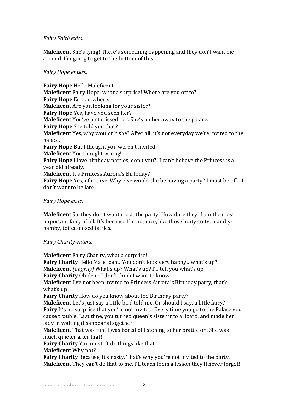#### *Fairy Faith exits.*

**Maleficent** She's lying! There's something happening and they don't want me around. I'm going to get to the bottom of this.

#### *Fairy Hope enters.*

**Fairy Hope** Hello Maleficent. **Maleficent** Fairy Hope, what a surprise! Where are you off to? **Fairy Hope** Err…nowhere. **Maleficent** Are you looking for your sister? **Fairy Hope** Yes, have you seen her? **Maleficent** You've just missed her. She's on her away to the palace. **Fairy Hope** She told you that? **Maleficent** Yes, why wouldn't she? After all, it's not everyday we're invited to the palace. **Fairy Hope** But I thought you weren't invited! **Maleficent** You thought wrong! **Fairy Hope** I love birthday parties, don't you?! I can't believe the Princess is a vear old already. **Maleficent** It's Princess Aurora's Birthday? **Fairy Hope** Yes, of course. Why else would she be having a party? I must be off... I don't want to be late.

#### *Fairy Hope exits.*

**Maleficent** So, they don't want me at the party! How dare they! I am the most important fairy of all. It's because I'm not nice, like those hoity-toity, mambypamby, toffee-nosed fairies.

#### *Fairy Charity enters.*

**Maleficent** Fairy Charity, what a surprise! **Fairy Charity** Hello Maleficent. You don't look very happy...what's up? **Maleficent** *(angrily)* What's up? What's up? I'll tell you what's up. **Fairy Charity** Oh dear, I don't think I want to know. **Maleficent** I've not been invited to Princess Aurora's Birthday party, that's what's up! **Fairy Charity** How do you know about the Birthday party? **Maleficent** Let's just say a little bird told me. Or should I say, a little fairy? **Fairy** It's no surprise that you're not invited. Every time you go to the Palace you cause trouble. Last time, you turned queen's sister into a lizard, and made her lady in waiting disappear altogether. **Maleficent** That was fun! I was bored of listening to her prattle on. She was much quieter after that! **Fairy Charity** You mustn't do things like that. **Maleficent** Why not?

**Fairy Charity** Because, it's nasty. That's why you're not invited to the party. **Maleficent** They can't do that to me. I'll teach them a lesson they'll never forget!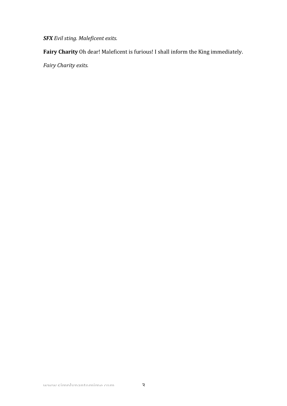*SFX Evil sting. Maleficent exits.*

**Fairy Charity** Oh dear! Maleficent is furious! I shall inform the King immediately.

*Fairy Charity exits.*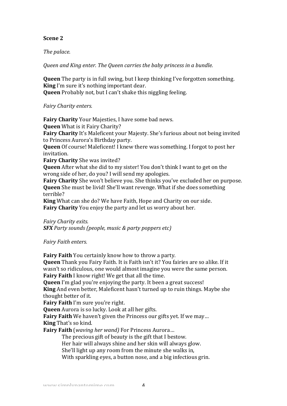## **Scene 2**

## The *palace*.

*Queen* and *King enter.* The *Queen carries the baby princess in a bundle.* 

**Queen** The party is in full swing, but I keep thinking I've forgotten something. **King** I'm sure it's nothing important dear. **Queen** Probably not, but I can't shake this niggling feeling.

*Fairy Charity enters.*

**Fairy Charity** Your Majesties, I have some bad news. **Queen** What is it Fairy Charity? **Fairy Charity** It's Maleficent your Majesty. She's furious about not being invited to Princess Aurora's Birthday party. **Queen** Of course! Maleficent! I knew there was something. I forgot to post her invitation.

**Fairy Charity** She was invited?

**Queen** After what she did to my sister! You don't think I want to get on the wrong side of her, do you? I will send my apologies.

**Fairy Charity** She won't believe you. She thinks you've excluded her on purpose. **Queen** She must be livid! She'll want revenge. What if she does something terrible?

**King** What can she do? We have Faith, Hope and Charity on our side. **Fairy Charity** You enjoy the party and let us worry about her.

*Fairy Charity exits. SFX Party sounds (people, music & party poppers etc)* 

*Fairy Faith enters.*

**Fairy Faith** You certainly know how to throw a party.

**Queen** Thank you Fairy Faith. It is Faith isn't it? You fairies are so alike. If it wasn't so ridiculous, one would almost imagine you were the same person. **Fairy Faith** I know right! We get that all the time.

**Oueen** I'm glad you're enjoving the party. It been a great success!

**King** And even better, Maleficent hasn't turned up to ruin things. Maybe she thought better of it.

**Fairy Faith** I'm sure you're right.

**Queen** Aurora is so lucky. Look at all her gifts.

**Fairy Faith** We haven't given the Princess our gifts yet. If we may... **King** That's so kind.

**Fairy Faith** (*waving her wand*) For Princess Aurora...

The precious gift of beauty is the gift that I bestow.

Her hair will always shine and her skin will always glow.

She'll light up any room from the minute she walks in,

With sparkling eyes, a button nose, and a big infectious grin.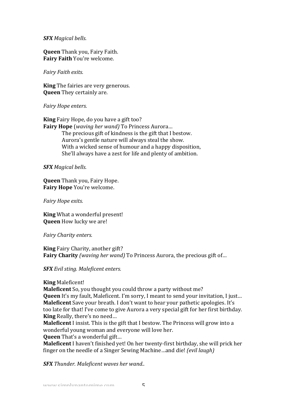#### *SFX Magical bells.*

**Queen** Thank you, Fairy Faith. **Fairy Faith You're welcome.** 

*Fairy Faith exits.*

**King** The fairies are very generous. **Queen** They certainly are.

*Fairy Hope enters.*

**King** Fairy Hope, do you have a gift too? **Fairy Hope** (*waving her wand*) To Princess Aurora... The precious gift of kindness is the gift that I bestow. Aurora's gentle nature will always steal the show. With a wicked sense of humour and a happy disposition, She'll always have a zest for life and plenty of ambition.

*SFX Magical bells.*

**Queen** Thank you, Fairy Hope. **Fairy Hope** You're welcome.

*Fairy Hope exits.*

**King** What a wonderful present! **Queen** How lucky we are!

*Fairy Charity enters.*

**King** Fairy Charity, another gift? **Fairy Charity** *(waving her wand)* To Princess Aurora, the precious gift of...

*SFX Evil sting. Maleficent enters.*

#### **King** Maleficent!

**Maleficent** So, you thought you could throw a party without me? **Queen** It's my fault, Maleficent. I'm sorry, I meant to send your invitation, I just... **Maleficent** Save vour breath. I don't want to hear your pathetic apologies. It's too late for that! I've come to give Aurora a very special gift for her first birthday. **King** Really, there's no need...

**Maleficent** I insist. This is the gift that I bestow. The Princess will grow into a wonderful young woman and everyone will love her.

**Queen** That's a wonderful gift...

**Maleficent** I haven't finished yet! On her twenty-first birthday, she will prick her finger on the needle of a Singer Sewing Machine...and die! *(evil laugh)* 

*SFX* Thunder. Maleficent waves her wand..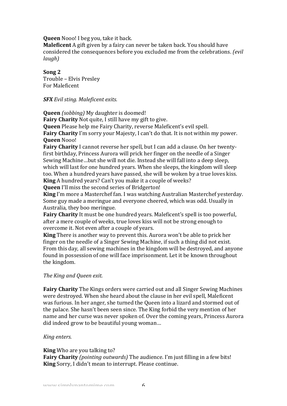**Queen** Nooo! I beg you, take it back.

**Maleficent** A gift given by a fairy can never be taken back. You should have considered the consequences before you excluded me from the celebrations. *(evil laugh)*

Song<sub>2</sub>

Trouble - Elvis Presley For Maleficent

*SFX Evil sting. Maleficent exits.*

**Queen** *(sobbing)* My daughter is doomed!

**Fairy Charity** Not quite, I still have my gift to give.

**Queen** Please help me Fairy Charity, reverse Maleficent's evil spell.

**Fairy Charity** I'm sorry your Majesty, I can't do that. It is not within my power. **Queen** Nooo!

**Fairy Charity** I cannot reverse her spell, but I can add a clause. On her twentyfirst birthday, Princess Aurora will prick her finger on the needle of a Singer Sewing Machine...but she will not die. Instead she will fall into a deep sleep, which will last for one hundred years. When she sleeps, the kingdom will sleep too. When a hundred years have passed, she will be woken by a true loves kiss. **King** A hundred years? Can't you make it a couple of weeks?

**Queen** I'll miss the second series of Bridgerton!

**King** I'm more a Masterchef fan. I was watching Australian Masterchef yesterday. Some guy made a meringue and everyone cheered, which was odd. Usually in Australia, they boo meringue.

**Fairy Charity** It must be one hundred years. Maleficent's spell is too powerful, after a mere couple of weeks, true loves kiss will not be strong enough to overcome it. Not even after a couple of years.

**King** There is another way to prevent this. Aurora won't be able to prick her finger on the needle of a Singer Sewing Machine, if such a thing did not exist. From this day, all sewing machines in the kingdom will be destroyed, and anyone found in possession of one will face imprisonment. Let it be known throughout the kingdom.

## *The King and Queen exit.*

**Fairy Charity** The Kings orders were carried out and all Singer Sewing Machines were destroyed. When she heard about the clause in her evil spell, Maleficent was furious. In her anger, she turned the Queen into a lizard and stormed out of the palace. She hasn't been seen since. The King forbid the very mention of her name and her curse was never spoken of. Over the coming years, Princess Aurora did indeed grow to be beautiful young woman...

## *King enters.*

## **King** Who are you talking to?

**Fairy Charity** *(pointing outwards)* The audience. I'm just filling in a few bits! **King** Sorry, I didn't mean to interrupt. Please continue.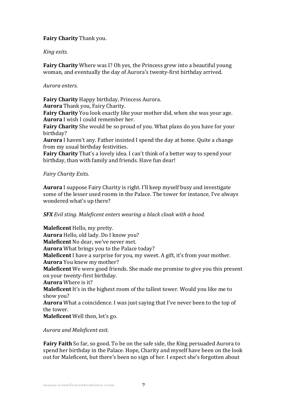# **Fairy Charity** Thank you.

## *King exits.*

**Fairy Charity** Where was I? Oh yes, the Princess grew into a beautiful young woman, and eventually the day of Aurora's twenty-first birthday arrived.

## *Aurora enters.*

**Fairy Charity** Happy birthday, Princess Aurora.

**Aurora** Thank you, Fairy Charity.

**Fairy Charity** You look exactly like your mother did, when she was your age. **Aurora** I wish I could remember her.

**Fairy Charity** She would be so proud of you. What plans do you have for your birthday?

**Aurora** I haven't any. Father insisted I spend the day at home. Ouite a change from my usual birthday festivities.

**Fairy Charity** That's a lovely idea. I can't think of a better way to spend your birthday, than with family and friends. Have fun dear!

# *Fairy Charity Exits.*

**Aurora** I suppose Fairy Charity is right. I'll keep myself busy and investigate some of the lesser used rooms in the Palace. The tower for instance, I've always wondered what's up there?

# *SFX* Evil sting. Maleficent enters wearing a black cloak with a hood.

**Maleficent** Hello, my pretty. **Aurora** Hello, old lady. Do I know you? **Maleficent** No dear, we've never met. **Aurora** What brings you to the Palace today? **Maleficent** I have a surprise for you, my sweet. A gift, it's from your mother. **Aurora** You knew my mother? **Maleficent** We were good friends. She made me promise to give you this present on your twenty-first birthday. **Aurora** Where is it? **Maleficent** It's in the highest room of the tallest tower. Would you like me to show you? **Aurora** What a coincidence. I was just saying that I've never been to the top of the tower. **Maleficent** Well then, let's go.

# *Aurora and Maleficent exit.*

**Fairy Faith** So far, so good. To be on the safe side, the King persuaded Aurora to spend her birthday in the Palace. Hope, Charity and myself have been on the look out for Maleficent, but there's been no sign of her. I expect she's forgotten about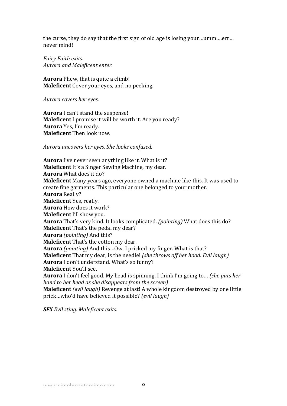the curse, they do say that the first sign of old age is losing your...umm....err... never mind!

*Fairy Faith exits. Aurora and Maleficent enter.*

**Aurora** Phew, that is quite a climb! **Maleficent** Cover your eyes, and no peeking.

*Aurora covers her eyes.* 

**Aurora** I can't stand the suspense! **Maleficent** I promise it will be worth it. Are you ready? **Aurora** Yes, I'm ready. **Maleficent** Then look now.

*Aurora uncovers her eyes. She looks confused.*

**Aurora** I've never seen anything like it. What is it? **Maleficent** It's a Singer Sewing Machine, my dear. **Aurora** What does it do? **Maleficent** Many years ago, everyone owned a machine like this. It was used to create fine garments. This particular one belonged to your mother. **Aurora** Really? **Maleficent** Yes, really. **Aurora** How does it work? **Maleficent** I'll show you. **Aurora** That's very kind. It looks complicated. *(pointing)* What does this do? **Maleficent** That's the pedal my dear? **Aurora** *(pointing)* And this? **Maleficent** That's the cotton my dear. **Aurora** *(pointing)* And this...Ow, I pricked my finger. What is that? **Maleficent** That my dear, is the needle! (she throws off her hood. Evil laugh) **Aurora** I don't understand. What's so funny? **Maleficent** You'll see. **Aurora** I don't feel good. My head is spinning. I think I'm going to... *(she puts her hand to her head as she disappears from the screen)* **Maleficent** *(evil laugh)* Revenge at last! A whole kingdom destroyed by one little prick…who'd have believed it possible? *(evil laugh)*

*SFX Evil sting. Maleficent exits.*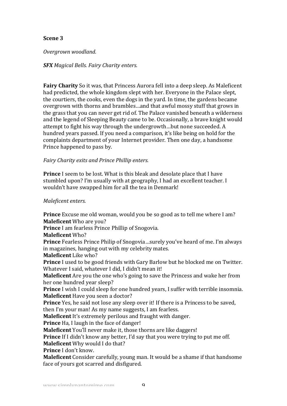## **Scene 3**

*Overgrown woodland.*

*SFX Magical Bells. Fairy Charity enters.*

**Fairy Charity** So it was, that Princess Aurora fell into a deep sleep. As Maleficent had predicted, the whole kingdom slept with her. Everyone in the Palace slept, the courtiers, the cooks, even the dogs in the vard. In time, the gardens became overgrown with thorns and brambles...and that awful mossy stuff that grows in the grass that you can never get rid of. The Palace vanished beneath a wilderness and the legend of Sleeping Beauty came to be. Occasionally, a brave knight would attempt to fight his way through the undergrowth...but none succeeded. A hundred years passed. If you need a comparison, it's like being on hold for the complaints department of your Internet provider. Then one day, a handsome Prince happened to pass by.

# *Fairy Charity exits and Prince Phillip enters.*

**Prince** I seem to be lost. What is this bleak and desolate place that I have stumbled upon? I'm usually with at geography, I had an excellent teacher. I wouldn't have swapped him for all the tea in Denmark!

# *Maleficent enters.*

**Prince** Excuse me old woman, would you be so good as to tell me where I am? **Maleficent** Who are you?

**Prince** I am fearless Prince Phillip of Snogovia.

**Maleficent** Who?

**Prince** Fearless Prince Philip of Snogovia...surely you've heard of me. I'm always in magazines, hanging out with my celebrity mates.

**Maleficent** Like who?

**Prince** I used to be good friends with Gary Barlow but he blocked me on Twitter. Whatever I said, whatever I did, I didn't mean it!

**Maleficent** Are you the one who's going to save the Princess and wake her from her one hundred vear sleep?

**Prince** I wish I could sleep for one hundred vears, I suffer with terrible insomnia. **Maleficent** Have you seen a doctor?

**Prince** Yes, he said not lose any sleep over it! If there is a Princess to be saved, then I'm your man! As my name suggests. I am fearless.

**Maleficent** It's extremely perilous and fraught with danger.

**Prince** Ha, I laugh in the face of danger!

**Maleficent** You'll never make it, those thorns are like daggers!

**Prince** If I didn't know any better, I'd say that you were trying to put me off.

**Maleficent** Why would I do that?

**Prince** I don't know.

**Maleficent** Consider carefully, young man. It would be a shame if that handsome face of yours got scarred and disfigured.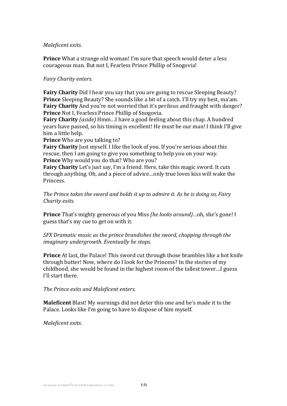#### *Maleficent exits.*

**Prince** What a strange old woman! I'm sure that speech would deter a less courageous man. But not I, Fearless Prince Phillip of Snogovia!

## *Fairy Charity enters.*

**Fairy Charity** Did I hear you say that you are going to rescue Sleeping Beauty? **Prince** Sleeping Beauty? She sounds like a bit of a catch. I'll try my best, ma'am. **Fairy Charity** And you're not worried that it's perilous and fraught with danger? **Prince** Not I, Fearless Prince Phillip of Snogovia.

**Fairy Charity** *(aside)* Hmm...I have a good feeling about this chap. A hundred years have passed, so his timing is excellent! He must be our man! I think I'll give him a little help.

**Prince** Who are you talking to?

**Fairy Charity** Just myself. I like the look of you. If you're serious about this rescue, then I am going to give you something to help you on your way. **Prince** Why would you do that? Who are you?

**Fairy Charity** Let's just say, I'm a friend. Here, take this magic sword. It cuts through anything. Oh, and a piece of advice...only true loves kiss will wake the Princess.

*The Prince takes the sword and holds it up to admire it. As he is doing so, Fairy Charity exits.*

**Prince** That's mighty generous of you Miss *(he looks around)*…oh, she's gone! I guess that's my cue to get on with it.

*SFX* Dramatic music as the prince brandishes the sword, chopping through the *imaginary undergrowth.* Eventually he stops.

**Prince** At last, the Palace! This sword cut through those brambles like a hot knife through butter! Now, where do I look for the Princess? In the stories of my childhood, she would be found in the highest room of the tallest tower...I guess I'll start there.

*The Prince exits and Maleficent enters.* 

**Maleficent** Blast! My warnings did not deter this one and he's made it to the Palace. Looks like I'm going to have to dispose of him myself.

*Maleficent exits.*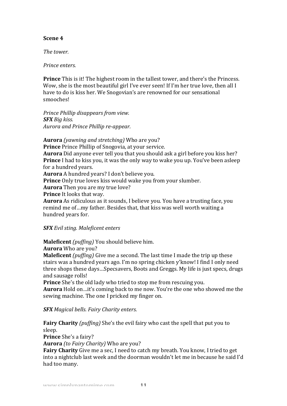# **Scene 4**

*The tower.*

## *Prince enters.*

**Prince** This is it! The highest room in the tallest tower, and there's the Princess. Wow, she is the most beautiful girl I've ever seen! If I'm her true love, then all I have to do is kiss her. We Snogovian's are renowned for our sensational smooches!

*Prince Phillip disappears from view. SFX Big kiss. Aurora and Prince Phillip re-appear.*

**Aurora** *(vawning and stretching)* Who are you? **Prince** Prince Phillip of Snogovia, at your service. **Aurora** Did anyone ever tell you that you should ask a girl before you kiss her? **Prince** I had to kiss you, it was the only way to wake you up. You've been asleep for a hundred vears. **Aurora** A hundred years? I don't believe you. **Prince** Only true loves kiss would wake you from your slumber. **Aurora** Then you are my true love? **Prince** It looks that way. **Aurora** As ridiculous as it sounds, I believe you. You have a trusting face, you remind me of...my father. Besides that, that kiss was well worth waiting a hundred vears for.

# *SFX Evil sting. Maleficent enters*

**Maleficent** (puffing) You should believe him.

**Aurora** Who are you?

**Maleficent** *(puffing)* Give me a second. The last time I made the trip up these stairs was a hundred years ago. I'm no spring chicken y'know! I find I only need three shops these days...Specsavers, Boots and Greggs. My life is just specs, drugs and sausage rolls!

**Prince** She's the old lady who tried to stop me from rescuing you.

**Aurora** Hold on …it's coming back to me now. You're the one who showed me the sewing machine. The one I pricked my finger on.

*SFX Magical bells. Fairy Charity enters.*

**Fairy Charity** *(puffing)* She's the evil fairy who cast the spell that put you to sleep.

**Prince** She's a fairy?

**Aurora** *(to Fairy Charity)* Who are you?

**Fairy Charity** Give me a sec, I need to catch my breath. You know, I tried to get into a nightclub last week and the doorman wouldn't let me in because he said I'd had too many.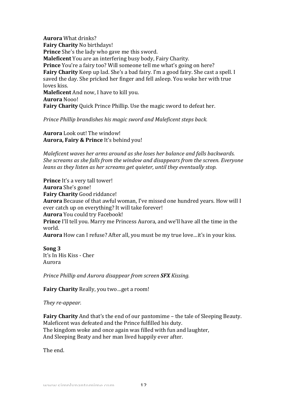**Aurora** What drinks? **Fairy Charity** No birthdays! **Prince** She's the lady who gave me this sword. **Maleficent** You are an interfering busy body, Fairy Charity. **Prince** You're a fairy too? Will someone tell me what's going on here? **Fairy Charity** Keep up lad. She's a bad fairy. I'm a good fairy. She cast a spell. I saved the day. She pricked her finger and fell asleep. You woke her with true loves kiss. **Maleficent** And now, I have to kill you. **Aurora** Nooo! **Fairy Charity** Quick Prince Phillip. Use the magic sword to defeat her.

*Prince Phillip brandishes his magic sword and Maleficent steps back.* 

**Aurora** Look out! The window! **Aurora, Fairy & Prince** It's behind you!

*Maleficent* waves her arms around as she loses her balance and falls backwards. *She screams as she falls from the window and disappears from the screen. Everyone leans as they listen as her screams get quieter, until they eventually stop.* 

**Prince** It's a very tall tower! Aurora She's gone! **Fairy Charity** Good riddance! **Aurora** Because of that awful woman, I've missed one hundred years. How will I ever catch up on everything? It will take forever! **Aurora** You could try Facebook! **Prince** I'll tell you. Marry me Princess Aurora, and we'll have all the time in the world.

**Aurora** How can I refuse? After all, you must be my true love...it's in your kiss.

**Song 3** It's In His Kiss - Cher Aurora

*Prince Phillip and Aurora disappear from screen SFX Kissing.* 

**Fairy Charity** Really, you two...get a room!

*They re-appear.*

**Fairy Charity** And that's the end of our pantomime – the tale of Sleeping Beauty. Maleficent was defeated and the Prince fulfilled his duty. The kingdom woke and once again was filled with fun and laughter, And Sleeping Beaty and her man lived happily ever after.

The end.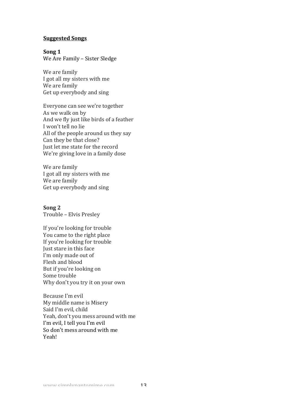#### **Suggested Songs**

#### Song 1

We Are Family - Sister Sledge

We are family I got all my sisters with me We are family Get up everybody and sing

Everyone can see we're together As we walk on by And we fly just like birds of a feather I won't tell no lie All of the people around us they say Can they be that close? Just let me state for the record We're giving love in a family dose

We are family I got all my sisters with me We are family Get up everybody and sing

## Song 2

Trouble - Elvis Presley

If you're looking for trouble You came to the right place If you're looking for trouble Just stare in this face I'm only made out of Flesh and blood But if you're looking on Some trouble Why don't you try it on your own

Because I'm evil My middle name is Misery Said I'm evil, child Yeah, don't you mess around with me I'm evil, I tell you I'm evil So don't mess around with me Yeah!